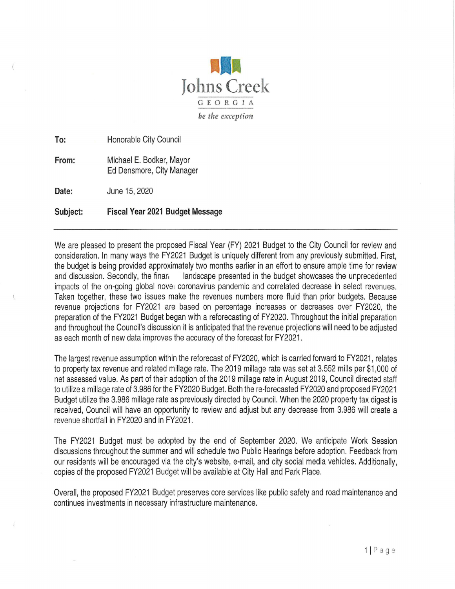

**To:**  Honorable City Council

**From:**  Michael E. Bodker, Mayor Ed Densmore, City Manager

Date: June 15, 2020

**Subject: Fiscal Year 2021 Budget Message** 

We are pleased to present the proposed Fiscal Year (FY) 2021 Budget to the City Council for review and consideration. In many ways the FY2021 Budget is uniquely different from any previously submitted. First, the budget is being provided approximately two months earlier in an effort to ensure ample time for review and discussion. Secondly, the finar, landscape presented in the budget showcases the unprecedented impacts of the on-going global nover coronavirus pandemic and correlated decrease in select revenues. Taken together, these two issues make the revenues numbers more fluid than prior budgets. Because revenue projections for FY2021 are based on percentage increases or decreases over FY2020, the preparation of the FY2021 Budget began with a reforecasting of FY2020. Throughout the initial preparation and throughout the Council's discussion it is anticipated that the revenue projections will need to be adjusted as each month of new data improves the accuracy of the forecast for FY2021.

The largest revenue assumption within the reforecast of FY2020, which is carried forward to FY2021, relates to property tax revenue and related millage rate. The 2019 millage rate was set at 3.552 mills per \$1,000 of net assessed value. As part of their adoption of the 2019 millage rate in August 2019, Council directed staff to utilize a millage rate of 3.986 for the FY2020 Budget. Both the re-forecasted FY2020 and proposed FY2021 Budget utilize the 3.986 millage rate as previously directed by Council. When the 2020 property tax digest is received, Council will have an opportunity to review and adjust but any decrease from 3.986 will create a revenue shortfall in FY2020 and in FY2021 .

The FY2021 Budget must be adopted by the end of September 2020. We anticipate Work Session discussions throughout the summer and will schedule two Public Hearings before adoption. Feedback from our residents will be encouraged via the city's website, e-mail, and city social media vehicles. Additionally, copies of the proposed FY2021 Budget will be available at City Hall and Park Place.

Overall, the proposed FY2021 Budget preserves core services like public safety and road maintenance and continues investments in necessary infrastructure maintenance.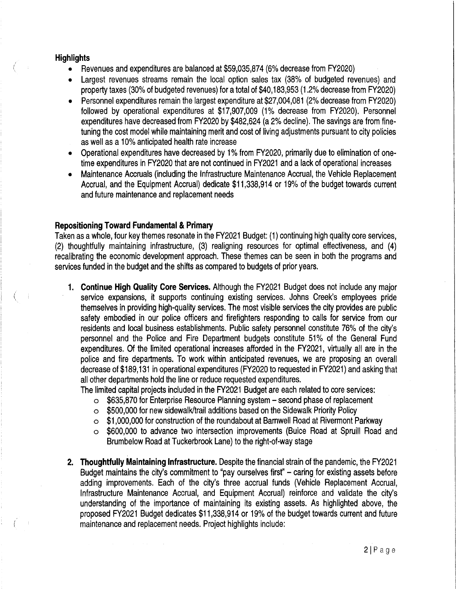## **Highlights**

- Revenues and expenditures are balanced at \$59,035,874 (6% decrease from FY2020)
- Largest revenues streams remain the local option sales tax (38% of budgeted revenues) and property taxes (30% of budgeted revenues) for a total of \$40,183,953 (1.2% decrease from FY2020)
- Personnel expenditures remain the largest expenditure at \$27,004,081 (2% decrease from FY2020) followed by operational expenditures at \$17,907,009 (1% decrease from FY2020). Personnel expenditures have decreased from FY2020 by \$482,624 (a 2% decline). The savings are from finetuning the cost model while maintaining merit and cost of living adjustments pursuant to city policies as well as a 10% anticipated health rate increase
- Operational expenditures have decreased by 1% from FY2020, primarily due to elimination of onetime expenditures in FY2020 that are not continued in FY2021 and a lack of operational increases
- Maintenance Accruals (including the Infrastructure Maintenance Accrual, the Vehicle Replacement Accrual, and the Equipment Accrual) dedicate \$11,338,914 or 19% of the budget towards current and future maintenance and replacement needs

## **Repositioning Toward Fundamental & Primary**

Taken as a whole, four key themes resonate in the FY2021 Budget: (1) continuing high quality core services, (2) thoughtfully maintaining infrastructure, (3) realigning resources for optimal effectiveness, and (4) recalibrating the economic development approach. These themes can be seen in both the programs and services funded in the budget and the shifts as compared to budgets of prior years.

- **1. Continue High Quality Core Services.** Although the FY2021 Budget does not include any major service expansions, it supports continuing existing services. Johns Creek's employees pride themselves in providing high-quality services. The most visible services the city provides are public safety embodied in our police officers and firefighters responding to calls for service from our residents and local business establishments. Public safety personnel constitute 76% of the city's personnel and the Police and Fire Department budgets constitute 51% of the General Fund expenditures. Of the limited operational increases afforded in the FY2021, virtually all are in the police and fire departments. To work within anticipated revenues, we are proposing an overall decrease of \$189,131 in operational expenditures (FY2020 to requested in FY2021) and asking that all other departments hold the line or reduce requested expenditures.
	- The limited capital projects included in the FY2021 Budget are each related to core services:
		- o \$635,870 for Enterprise Resource Planning system second phase of replacement
		- o \$500,000 for new sidewalk/trail additions based on the Sidewalk Priority Policy
		- o \$1,000,000 for construction of the roundabout at Barnwell Road at Rivermont Parkway
		- o \$600,000 to advance two intersection improvements (Buice Road at Spruill Road and Brumbelow Road at Tuckerbrook Lane) to the right-of-way stage
- **2. Thoughtfully Maintaining Infrastructure.** Despite the financial strain of the pandemic, the FY2021 Budget maintains the city's commitment to "pay ourselves first" – caring for existing assets before adding improvements. Each of the city's three accrual funds (Vehicle Replacement Accrual, Infrastructure Maintenance Accrual, and Equipment Accrual) reinforce and validate the city's understanding of the importance of maintaining its existing assets. As highlighted above, the proposed FY2021 Budget dedicates \$11,338,914 or 19% of the budget towards current and future maintenance and replacement needs. Project highlights include: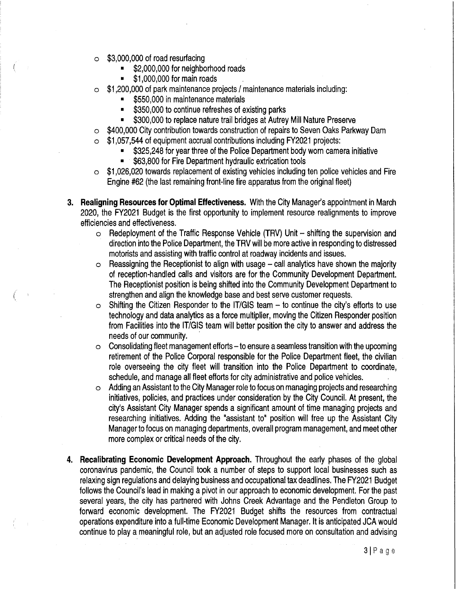- o \$3,000,000 of road resurfacing
	- \$2,000,000 for neighborhood roads
	- \$1,000,000 for main roads
- o \$1,200,000 of park maintenance projects/ maintenance materials including:
	- \$550,000 in maintenance materials
	- \$350,000 to continue refreshes of existing parks
	- \$300,000 to replace nature trail bridges at Autrey Mill Nature Preserve
- \$400,000 City contribution towards construction of repairs to Seven Oaks Parkway Dam
- o \$1,057,544 of equipment accrual contributions including FY2021 projects:
	- \$325,248 for year three of the Police Department body worn camera initiative
	- \$63,800 for Fire Department hydraulic extrication tools
- o \$1,026,020 towards replacement of existing vehicles including ten police vehicles and Fire Engine #62 (the last remaining front-line fire apparatus from the original fleet)
- **3. Realigning Resources for Optimal Effectiveness.** With the City Manager's appointment in March 2020, the FY2021 Budget is the first opportunity to implement resource realignments to improve efficiencies and effectiveness.
	- $\circ$  Redeployment of the Traffic Response Vehicle (TRV) Unit  $-$  shifting the supervision and direction into the Police Department, the TRV will be more active in responding to distressed motorists and assisting with traffic control at roadway incidents and issues.
	- $\circ$  Reassigning the Receptionist to align with usage call analytics have shown the majority of reception-handled calls and visitors are for the Community Development Department. The Receptionist position is being shifted into the Community Development Department to strengthen and align the knowledge base and best serve customer requests.
	- $\circ$  Shifting the Citizen Responder to the IT/GIS team to continue the city's efforts to use technology and data analytics as a force multiplier, moving the Citizen Responder position from Facilities into the IT/GIS team will better position the city to answer and address the needs of our community.
	- $\circ$  Consolidating fleet management efforts to ensure a seamless transition with the upcoming retirement of the Police Corporal responsible for the Police Department fleet, the civilian role overseeing the city fleet will transition into the Police Department to coordinate, schedule, and manage all fleet efforts for city administrative and police vehicles.
	- o Adding an Assistant to the City Manager role to focus on managing projects and researching initiatives, policies, and practices under consideration by the City Council. At present, the city's Assistant City Manager spends a significant amount of time managing projects and researching initiatives. Adding the "assistant to" position will free up the Assistant City Manager to focus on managing departments, overall program management, and meet other more complex or critical needs of the city.
- **4. Recalibrating Economic Development Approach.** Throughout the early phases of the global coronavirus pandemic, the Council took a number of steps to support local businesses such as relaxing sign regulations and delaying business and occupational tax deadlines. The FY2021 Budget follows the Council's lead in making a pivot in our approach to economic development. For the past several years, the city has partnered with Johns Creek Advantage and the Pendleton Group to forward economic development. The FY2021 Budget shifts the resources from contractual operations expenditure into a full-time Economic Development Manager. It is anticipated JCA would continue to play a meaningful role, but an adjusted role focused more on consultation and advising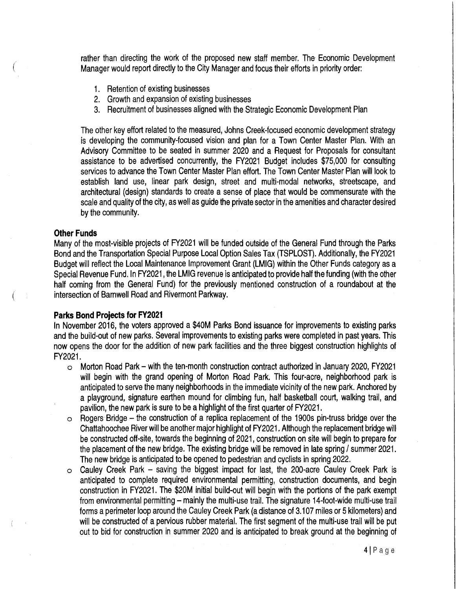rather than directing the work of the proposed new staff member. The Economic Development Manager would report directly to the City Manager and focus their efforts in priority order:

- 1. Retention of existing businesses
- 2. Growth and expansion of existing businesses
- 3. Recruitment of businesses aligned with the Strategic Economic Development Plan

The other key effort related to the measured, Johns Creek-focused economic development strategy is developing the community-focused vision and plan for a Town Center Master Plan. With an Advisory Committee to be seated in summer 2020 and a Request for Proposals for consultant assistance to be advertised concurrently, the FY2021 Budget includes \$75,000 for consulting services to advance the Town Center Master Plan effort. The Town Center Master Plan will look to establish land use, linear park design, street and multi-modal networks, streetscape, and architectural (design) standards to create a sense of place that would be commensurate with the scale and quality of the city, as well as guide the private sector in the amenities and character desired by the community.

#### **Other Funds**

Many of the most-visible projects of FY2021 will be funded outside of the General Fund through the Parks Bond and the Transportation Special Purpose Local Option Sales Tax (TSPLOST). Additionally, the FY2021 Budget will reflect the Local Maintenance Improvement Grant (LMIG) within the Other Funds category as a Special Revenue Fund. In FY2021, the LMIG revenue is anticipated to provide half the funding (with the other half coming from the General Fund) for the previously mentioned construction of a roundabout at the intersection of Barnwell Road and Rivermont Parkway.

#### **Parks Bond Projects for FY2021**

In November 2016, the voters approved a \$40M Parks Bond issuance for improvements to existing parks and the build-out of new parks. Several improvements to existing parks were completed in past years. This now opens the door for the addition of new park facilities and the three biggest construction highlights of FY2021.

- o Morton Road Park with the ten-month construction contract authorized in January 2020, FY2021 will begin with the grand opening of Morton Road Park. This four-acre, neighborhood park is anticipated to serve the many neighborhoods in the immediate vicinity of the new park. Anchored by a playground, signature earthen mound for climbing fun, half basketball court, walking trail, and pavilion, the new park is sure to be a highlight of the first quarter of FY2021.
- o Rogers Bridge the construction of a replica replacement of the 1900s pin-truss bridge over the Chattahoochee River will be another major highlight of FY2021. Although the replacement bridge will be constructed off-site, towards the beginning of 2021, construction on site will begin to prepare for the placement of the new bridge. The existing bridge will be removed in late spring/ summer 2021. The new bridge is anticipated to be opened to pedestrian and cyclists in spring 2022.
- o Cauley Creek Park saving the biggest impact for last, the 200-acre Cauley Creek Park is anticipated to complete required environmental permitting, construction documents, and begin construction in FY2021. The \$20M initial build-out will begin with the portions of the park exempt from environmental permitting - mainly the multi-use trail. The signature 14-foot-wide multi-use trail forms a perimeter loop around the Cauley Creek Park (a distance of 3.107 miles or 5 kilometers) and will be constructed of a pervious rubber material. The first segment of the multi-use trail will be put out to bid for construction in summer 2020 and is anticipated to break ground at the beginning of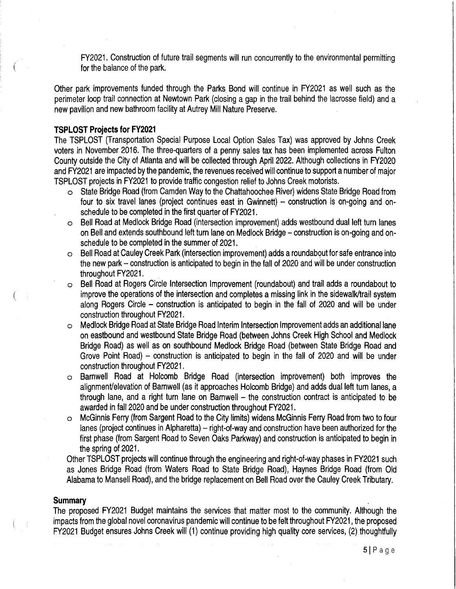FY2021. Construction of future trail segments will run concurrently to the environmental permitting for the balance of the park.

Other park improvements funded through the Parks Bond will continue in FY2021 as well such as the perimeter loop trail connection at Newtown Park (closing a gap in the trail behind the lacrosse field) and a new pavilion and new bathroom facility at Autrey Mill Nature Preserve.

# **TSPLOST Projects for FY2021**

The TSPLOST (Transportation Special Purpose Local Option Sales Tax) was approved by Johns Creek voters in November 2016. The three-quarters of a penny sales tax has been implemented across Fulton County outside the City of Atlanta and will be collected through April 2022. Although collections in FY2020 and FY2021 are impacted by the pandemic, the revenues received will continue to support a number of major TSPLOST projects in FY2021 to provide traffic congestion relief to Johns Creek motorists. ·

- o State Bridge Road (from Camden Way to the Chattahoochee River) widens State Bridge Road from four to six travel lanes (project continues east in Gwinnett) - construction is on-going and onschedule to be completed in the first quarter of FY2021.
- o Bell Road at Medlock Bridge Road (intersection improvement) adds westbound dual left turn lanes on Bell and extends southbound left turn lane on Medlock Bridge - construction is on-going and onschedule to be completed in the summer of 2021.
- o Bell Road at Cauley Creek Park (intersection improvement) adds a roundabout for safe entrance into the new park - construction is anticipated to begin in the fall of 2020 and will be under construction throughout FY2021.
- o Bell Road at Rogers Circle Intersection Improvement (roundabout) and trail adds a roundabout to improve the operations of the intersection and completes a missing link in the sidewalk/trail system along Rogers Circle - construction is anticipated to begin in the fall of 2020 and will be under construction throughout FY2021.
- o Medlock Bridge Road at State Bridge Road Interim Intersection Improvement adds an additional lane on eastbound and westbound State Bridge Road (between Johns Creek High School and Medlock Bridge Road) as well as on southbound Medlock Bridge Road (between State Bridge Road and Grove Point Road) - construction is anticipated to begin in the fall of 2020 and will be under construction throughout FY2021.
- o Barnwell Road at Holcomb Bridge Road (intersection improvement) both improves the alignmenVelevation of Barnwell (as it approaches Holcomb Bridge) and adds dual left turn lanes, a through lane, and a right turn lane on Barnwell  $-$  the construction contract is anticipated to be awarded in fall 2020 and be under construction throughout FY2021.
- o McGinnis Ferry (from Sargent Road to the City limits) widens McGinnis Ferry Road from two to four lanes (project continues in Alpharetta) - right-of-way and construction have been authorized for the first phase (from Sargent Road to Seven Oaks Parkway) and construction is anticipated to begin in the spring of 2021.

Other TSPLOST projects will continue through the engineering and right-of-way phases in FY2021 such as Jones Bridge Road (from Waters Road to State Bridge Road), Haynes Bridge Road (from Old Alabama to Mansell Road), and the bridge replacement on Bell Road over the Cauley Creek Tributary.

### **Summary** .

(

The proposed FY2021 Budget maintains the services that matter most to the community. Although the impacts from the global novel coronavirus pandemic will continue to be felt throughout FY2021, the proposed FY2021 Budget ensures Johns Creek will (1) continue providing high quality core services, (2) thoughtfully